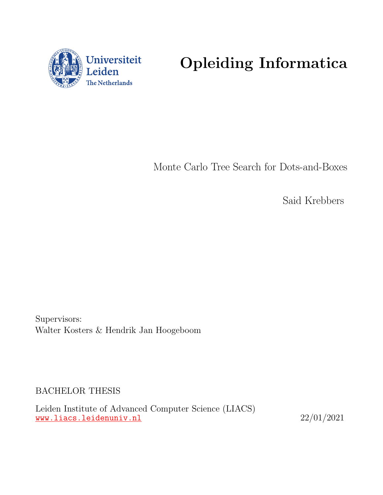

# Opleiding Informatica

Monte Carlo Tree Search for Dots-and-Boxes

Said Krebbers

Supervisors: Walter Kosters & Hendrik Jan Hoogeboom

BACHELOR THESIS

Leiden Institute of Advanced Computer Science (LIACS) <www.liacs.leidenuniv.nl> 22/01/2021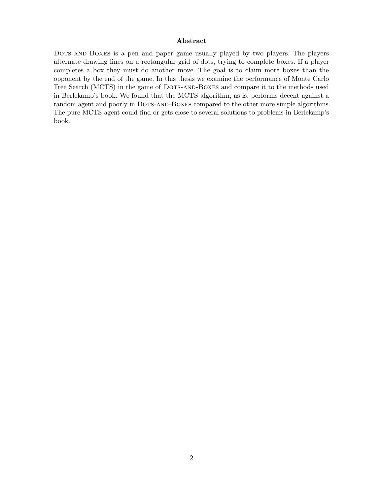#### Abstract

Dots-and-Boxes is a pen and paper game usually played by two players. The players alternate drawing lines on a rectangular grid of dots, trying to complete boxes. If a player completes a box they must do another move. The goal is to claim more boxes than the opponent by the end of the game. In this thesis we examine the performance of Monte Carlo Tree Search (MCTS) in the game of DOTS-AND-BOXES and compare it to the methods used in Berlekamp's book. We found that the MCTS algorithm, as is, performs decent against a random agent and poorly in DOTS-AND-BOXES compared to the other more simple algorithms. The pure MCTS agent could find or gets close to several solutions to problems in Berlekamp's book.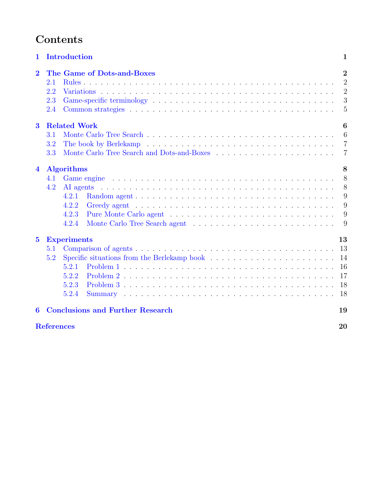# Contents

| $\mathbf 1$             | Introduction                                                         | 1                                                                         |  |
|-------------------------|----------------------------------------------------------------------|---------------------------------------------------------------------------|--|
| $\overline{2}$          | The Game of Dots-and-Boxes<br>2.1<br>2.2<br>2.3<br>2.4               | $\overline{2}$<br>$\overline{2}$<br>$\overline{2}$<br>3<br>$\overline{5}$ |  |
| $\bf{3}$                | <b>Related Work</b><br>3.1<br>3.2<br>3.3                             | 6<br>6<br>$\overline{7}$<br>7                                             |  |
| $\overline{\mathbf{4}}$ | <b>Algorithms</b><br>4.1<br>4.2<br>4.2.1<br>4.2.2<br>4.2.3<br>4.2.4  | 8<br>8<br>8<br>9<br>9<br>9<br>9                                           |  |
| $\bf{5}$                | <b>Experiments</b><br>5.1<br>5.2<br>5.2.1<br>5.2.2<br>5.2.3<br>5.2.4 | 13<br>13<br>14<br>16<br>17<br>18<br>18                                    |  |
| 6                       | <b>Conclusions and Further Research</b>                              | 19                                                                        |  |
|                         | <b>References</b><br>20                                              |                                                                           |  |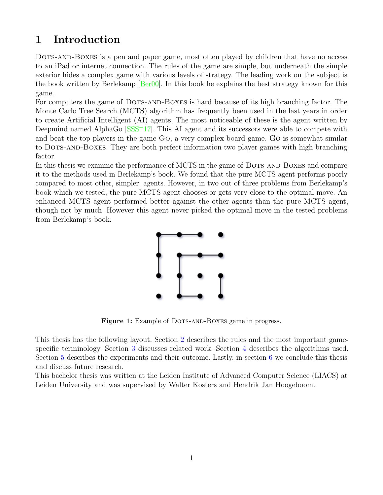# <span id="page-3-0"></span>1 Introduction

DOTS-AND-BOXES is a pen and paper game, most often played by children that have no access to an iPad or internet connection. The rules of the game are simple, but underneath the simple exterior hides a complex game with various levels of strategy. The leading work on the subject is the book written by Berlekamp [\[Ber00\]](#page-22-1). In this book he explains the best strategy known for this game.

For computers the game of DOTS-AND-BOXES is hard because of its high branching factor. The Monte Carlo Tree Search (MCTS) algorithm has frequently been used in the last years in order to create Artificial Intelligent (AI) agents. The most noticeable of these is the agent written by Deepmind named AlphaGo  $SSS<sup>+17</sup>$ . This AI agent and its successors were able to compete with and beat the top players in the game Go, a very complex board game. Go is somewhat similar to Dots-and-Boxes. They are both perfect information two player games with high branching factor.

In this thesis we examine the performance of MCTS in the game of DOTS-AND-BOXES and compare it to the methods used in Berlekamp's book. We found that the pure MCTS agent performs poorly compared to most other, simpler, agents. However, in two out of three problems from Berlekamp's book which we tested, the pure MCTS agent chooses or gets very close to the optimal move. An enhanced MCTS agent performed better against the other agents than the pure MCTS agent, though not by much. However this agent never picked the optimal move in the tested problems from Berlekamp's book.



Figure 1: Example of DOTS-AND-BOXES game in progress.

This thesis has the following layout. Section [2](#page-4-0) describes the rules and the most important gamespecific terminology. Section [3](#page-8-0) discusses related work. Section [4](#page-10-0) describes the algorithms used. Section [5](#page-15-0) describes the experiments and their outcome. Lastly, in section [6](#page-21-0) we conclude this thesis and discuss future research.

This bachelor thesis was written at the Leiden Institute of Advanced Computer Science (LIACS) at Leiden University and was supervised by Walter Kosters and Hendrik Jan Hoogeboom.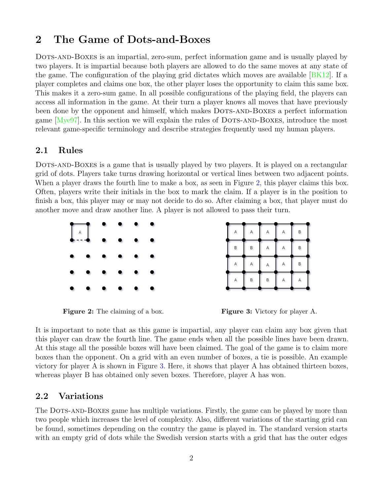## <span id="page-4-0"></span>2 The Game of Dots-and-Boxes

Dots-and-Boxes is an impartial, zero-sum, perfect information game and is usually played by two players. It is impartial because both players are allowed to do the same moves at any state of the game. The configuration of the playing grid dictates which moves are available [\[BK12\]](#page-22-3). If a player completes and claims one box, the other player loses the opportunity to claim this same box. This makes it a zero-sum game. In all possible configurations of the playing field, the players can access all information in the game. At their turn a player knows all moves that have previously been done by the opponent and himself, which makes DOTS-AND-BOXES a perfect information game  $[Mye97]$ . In this section we will explain the rules of DOTS-AND-BOXES, introduce the most relevant game-specific terminology and describe strategies frequently used my human players.

#### <span id="page-4-1"></span>2.1 Rules

DOTS-AND-BOXES is a game that is usually played by two players. It is played on a rectangular grid of dots. Players take turns drawing horizontal or vertical lines between two adjacent points. When a player draws the fourth line to make a box, as seen in Figure [2,](#page-4-3) this player claims this box. Often, players write their initials in the box to mark the claim. If a player is in the position to finish a box, this player may or may not decide to do so. After claiming a box, that player must do another move and draw another line. A player is not allowed to pass their turn.

<span id="page-4-3"></span>



It is important to note that as this game is impartial, any player can claim any box given that this player can draw the fourth line. The game ends when all the possible lines have been drawn. At this stage all the possible boxes will have been claimed. The goal of the game is to claim more boxes than the opponent. On a grid with an even number of boxes, a tie is possible. An example victory for player A is shown in Figure [3.](#page-4-3) Here, it shows that player A has obtained thirteen boxes, whereas player B has obtained only seven boxes. Therefore, player A has won.

#### <span id="page-4-2"></span>2.2 Variations

The DOTS-AND-BOXES game has multiple variations. Firstly, the game can be played by more than two people which increases the level of complexity. Also, different variations of the starting grid can be found, sometimes depending on the country the game is played in. The standard version starts with an empty grid of dots while the Swedish version starts with a grid that has the outer edges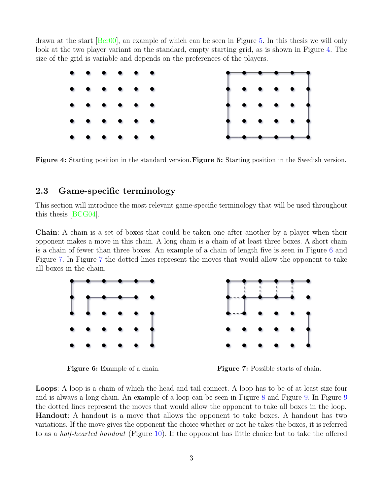drawn at the start [\[Ber00\]](#page-22-1), an example of which can be seen in Figure [5.](#page-5-1) In this thesis we will only look at the two player variant on the standard, empty starting grid, as is shown in Figure [4.](#page-5-1) The size of the grid is variable and depends on the preferences of the players.

<span id="page-5-1"></span>

Figure 4: Starting position in the standard version. Figure 5: Starting position in the Swedish version.

#### <span id="page-5-0"></span>2.3 Game-specific terminology

This section will introduce the most relevant game-specific terminology that will be used throughout this thesis [\[BCG04\]](#page-22-5).

Chain: A chain is a set of boxes that could be taken one after another by a player when their opponent makes a move in this chain. A long chain is a chain of at least three boxes. A short chain is a chain of fewer than three boxes. An example of a chain of length five is seen in Figure [6](#page-5-2) and Figure [7.](#page-5-2) In Figure [7](#page-5-2) the dotted lines represent the moves that would allow the opponent to take all boxes in the chain.

<span id="page-5-2"></span>

Figure 6: Example of a chain. Figure 7: Possible starts of chain.

Loops: A loop is a chain of which the head and tail connect. A loop has to be of at least size four and is always a long chain. An example of a loop can be seen in Figure [8](#page-6-0) and Figure [9.](#page-6-0) In Figure [9](#page-6-0) the dotted lines represent the moves that would allow the opponent to take all boxes in the loop. Handout: A handout is a move that allows the opponent to take boxes. A handout has two variations. If the move gives the opponent the choice whether or not he takes the boxes, it is referred to as a half-hearted handout (Figure [10\)](#page-6-1). If the opponent has little choice but to take the offered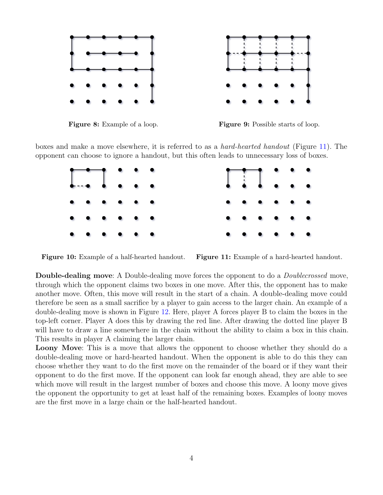<span id="page-6-0"></span>



Figure 8: Example of a loop. Figure 9: Possible starts of loop.

<span id="page-6-1"></span>boxes and make a move elsewhere, it is referred to as a hard-hearted handout (Figure [11\)](#page-6-1). The opponent can choose to ignore a handout, but this often leads to unnecessary loss of boxes.



Figure 10: Example of a half-hearted handout. Figure 11: Example of a hard-hearted handout.

Double-dealing move: A Double-dealing move forces the opponent to do a Doublecrossed move, through which the opponent claims two boxes in one move. After this, the opponent has to make another move. Often, this move will result in the start of a chain. A double-dealing move could therefore be seen as a small sacrifice by a player to gain access to the larger chain. An example of a double-dealing move is shown in Figure [12.](#page-7-1) Here, player A forces player B to claim the boxes in the top-left corner. Player A does this by drawing the red line. After drawing the dotted line player B will have to draw a line somewhere in the chain without the ability to claim a box in this chain. This results in player A claiming the larger chain.

Loony Move: This is a move that allows the opponent to choose whether they should do a double-dealing move or hard-hearted handout. When the opponent is able to do this they can choose whether they want to do the first move on the remainder of the board or if they want their opponent to do the first move. If the opponent can look far enough ahead, they are able to see which move will result in the largest number of boxes and choose this move. A loony move gives the opponent the opportunity to get at least half of the remaining boxes. Examples of loony moves are the first move in a large chain or the half-hearted handout.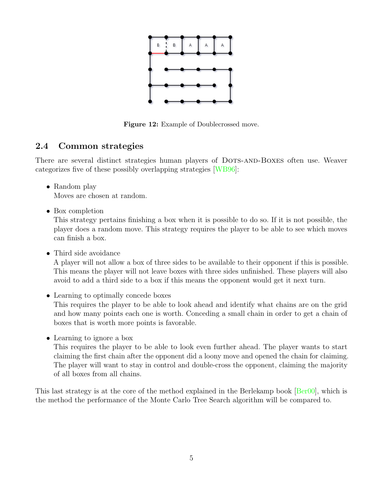<span id="page-7-1"></span>

Figure 12: Example of Doublecrossed move.

## <span id="page-7-0"></span>2.4 Common strategies

There are several distinct strategies human players of DOTS-AND-BOXES often use. Weaver categorizes five of these possibly overlapping strategies [\[WB96\]](#page-22-6):

• Random play

Moves are chosen at random.

• Box completion

This strategy pertains finishing a box when it is possible to do so. If it is not possible, the player does a random move. This strategy requires the player to be able to see which moves can finish a box.

• Third side avoidance

A player will not allow a box of three sides to be available to their opponent if this is possible. This means the player will not leave boxes with three sides unfinished. These players will also avoid to add a third side to a box if this means the opponent would get it next turn.

- Learning to optimally concede boxes This requires the player to be able to look ahead and identify what chains are on the grid and how many points each one is worth. Conceding a small chain in order to get a chain of boxes that is worth more points is favorable.
- Learning to ignore a box

This requires the player to be able to look even further ahead. The player wants to start claiming the first chain after the opponent did a loony move and opened the chain for claiming. The player will want to stay in control and double-cross the opponent, claiming the majority of all boxes from all chains.

This last strategy is at the core of the method explained in the Berlekamp book [\[Ber00\]](#page-22-1), which is the method the performance of the Monte Carlo Tree Search algorithm will be compared to.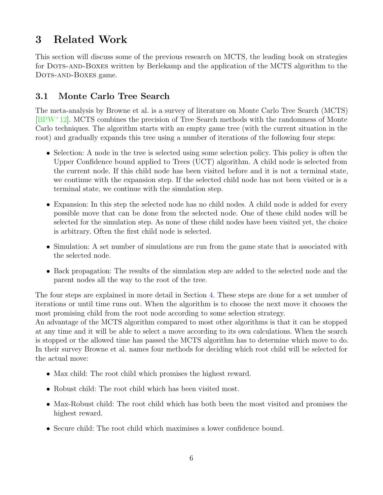# <span id="page-8-0"></span>3 Related Work

This section will discuss some of the previous research on MCTS, the leading book on strategies for Dots-and-Boxes written by Berlekamp and the application of the MCTS algorithm to the DOTS-AND-BOXES game.

## <span id="page-8-1"></span>3.1 Monte Carlo Tree Search

The meta-analysis by Browne et al. is a survey of literature on Monte Carlo Tree Search (MCTS) [\[BPW](#page-22-7)<sup>+</sup>12]. MCTS combines the precision of Tree Search methods with the randomness of Monte Carlo techniques. The algorithm starts with an empty game tree (with the current situation in the root) and gradually expands this tree using a number of iterations of the following four steps:

- Selection: A node in the tree is selected using some selection policy. This policy is often the Upper Confidence bound applied to Trees (UCT) algorithm. A child node is selected from the current node. If this child node has been visited before and it is not a terminal state, we continue with the expansion step. If the selected child node has not been visited or is a terminal state, we continue with the simulation step.
- Expansion: In this step the selected node has no child nodes. A child node is added for every possible move that can be done from the selected node. One of these child nodes will be selected for the simulation step. As none of these child nodes have been visited yet, the choice is arbitrary. Often the first child node is selected.
- Simulation: A set number of simulations are run from the game state that is associated with the selected node.
- Back propagation: The results of the simulation step are added to the selected node and the parent nodes all the way to the root of the tree.

The four steps are explained in more detail in Section [4.](#page-10-0) These steps are done for a set number of iterations or until time runs out. When the algorithm is to choose the next move it chooses the most promising child from the root node according to some selection strategy.

An advantage of the MCTS algorithm compared to most other algorithms is that it can be stopped at any time and it will be able to select a move according to its own calculations. When the search is stopped or the allowed time has passed the MCTS algorithm has to determine which move to do. In their survey Browne et al. names four methods for deciding which root child will be selected for the actual move:

- Max child: The root child which promises the highest reward.
- Robust child: The root child which has been visited most.
- Max-Robust child: The root child which has both been the most visited and promises the highest reward.
- Secure child: The root child which maximises a lower confidence bound.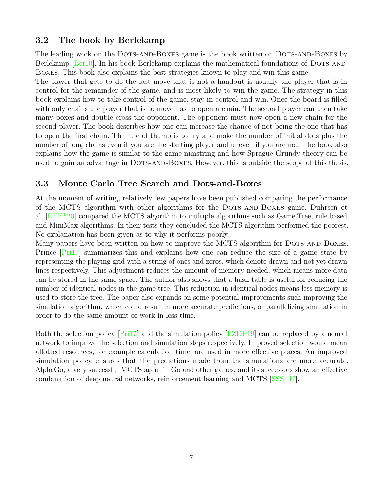#### <span id="page-9-0"></span>3.2 The book by Berlekamp

The leading work on the DOTS-AND-BOXES game is the book written on DOTS-AND-BOXES by Berlekamp [\[Ber00\]](#page-22-1). In his book Berlekamp explains the mathematical foundations of DOTS-AND-Boxes. This book also explains the best strategies known to play and win this game.

The player that gets to do the last move that is not a handout is usually the player that is in control for the remainder of the game, and is most likely to win the game. The strategy in this book explains how to take control of the game, stay in control and win. Once the board is filled with only chains the player that is to move has to open a chain. The second player can then take many boxes and double-cross the opponent. The opponent must now open a new chain for the second player. The book describes how one can increase the chance of not being the one that has to open the first chain. The rule of thumb is to try and make the number of initial dots plus the number of long chains even if you are the starting player and uneven if you are not. The book also explains how the game is similar to the game nimstring and how Sprague-Grundy theory can be used to gain an advantage in DOTS-AND-BOXES. However, this is outside the scope of this thesis.

#### <span id="page-9-1"></span>3.3 Monte Carlo Tree Search and Dots-and-Boxes

At the moment of writing, relatively few papers have been published comparing the performance of the MCTS algorithm with other algorithms for the DOTS-AND-BOXES game. Dührsen et al.  $[DFF+20]$  $[DFF+20]$  compared the MCTS algorithm to multiple algorithms such as Game Tree, rule based and MiniMax algorithms. In their tests they concluded the MCTS algorithm performed the poorest. No explanation has been given as to why it performs poorly.

Many papers have been written on how to improve the MCTS algorithm for DOTS-AND-BOXES. Prince [\[Pri17\]](#page-22-9) summarizes this and explains how one can reduce the size of a game state by representing the playing grid with a string of ones and zeros, which denote drawn and not yet drawn lines respectively. This adjustment reduces the amount of memory needed, which means more data can be stored in the same space. The author also shows that a hash table is useful for reducing the number of identical nodes in the game tree. This reduction in identical nodes means less memory is used to store the tree. The paper also expands on some potential improvements such improving the simulation algorithm, which could result in more accurate predictions, or parallelizing simulation in order to do the same amount of work in less time.

Both the selection policy [\[Pri17\]](#page-22-9) and the simulation policy [\[LZDP19\]](#page-22-10) can be replaced by a neural network to improve the selection and simulation steps respectively. Improved selection would mean allotted resources, for example calculation time, are used in more effective places. An improved simulation policy ensures that the predictions made from the simulations are more accurate. AlphaGo, a very successful MCTS agent in Go and other games, and its successors show an effective combination of deep neural networks, reinforcement learning and MCTS [\[SSS](#page-22-2)<sup>+</sup>17].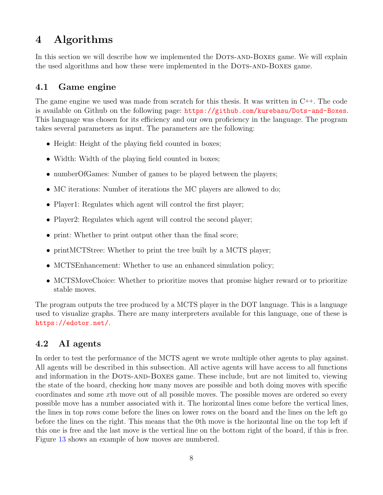# <span id="page-10-0"></span>4 Algorithms

In this section we will describe how we implemented the DOTS-AND-BOXES game. We will explain the used algorithms and how these were implemented in the DOTS-AND-BOXES game.

## <span id="page-10-1"></span>4.1 Game engine

The game engine we used was made from scratch for this thesis. It was written in  $C^{++}$ . The code is available on Github on the following page: <https://github.com/kurebasu/Dots-and-Boxes>. This language was chosen for its efficiency and our own proficiency in the language. The program takes several parameters as input. The parameters are the following:

- Height: Height of the playing field counted in boxes;
- Width: Width of the playing field counted in boxes;
- numberOfGames: Number of games to be played between the players;
- MC iterations: Number of iterations the MC players are allowed to do;
- Player1: Regulates which agent will control the first player;
- Player2: Regulates which agent will control the second player;
- print: Whether to print output other than the final score;
- printMCTStree: Whether to print the tree built by a MCTS player;
- MCTSEnhancement: Whether to use an enhanced simulation policy;
- MCTSMoveChoice: Whether to prioritize moves that promise higher reward or to prioritize stable moves.

The program outputs the tree produced by a MCTS player in the DOT language. This is a language used to visualize graphs. There are many interpreters available for this language, one of these is <https://edotor.net/>.

### <span id="page-10-2"></span>4.2 AI agents

In order to test the performance of the MCTS agent we wrote multiple other agents to play against. All agents will be described in this subsection. All active agents will have access to all functions and information in the DOTS-AND-BOXES game. These include, but are not limited to, viewing the state of the board, checking how many moves are possible and both doing moves with specific coordinates and some xth move out of all possible moves. The possible moves are ordered so every possible move has a number associated with it. The horizontal lines come before the vertical lines, the lines in top rows come before the lines on lower rows on the board and the lines on the left go before the lines on the right. This means that the 0th move is the horizontal line on the top left if this one is free and the last move is the vertical line on the bottom right of the board, if this is free. Figure [13](#page-11-4) shows an example of how moves are numbered.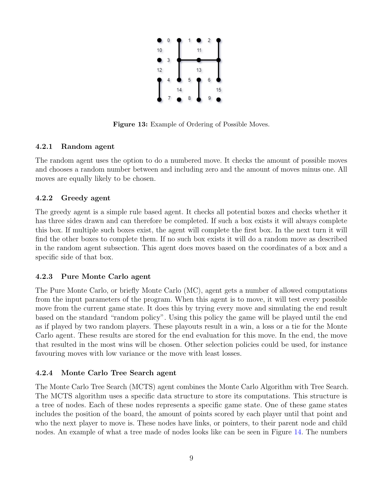

Figure 13: Example of Ordering of Possible Moves.

#### <span id="page-11-4"></span><span id="page-11-0"></span>4.2.1 Random agent

The random agent uses the option to do a numbered move. It checks the amount of possible moves and chooses a random number between and including zero and the amount of moves minus one. All moves are equally likely to be chosen.

#### <span id="page-11-1"></span>4.2.2 Greedy agent

The greedy agent is a simple rule based agent. It checks all potential boxes and checks whether it has three sides drawn and can therefore be completed. If such a box exists it will always complete this box. If multiple such boxes exist, the agent will complete the first box. In the next turn it will find the other boxes to complete them. If no such box exists it will do a random move as described in the random agent subsection. This agent does moves based on the coordinates of a box and a specific side of that box.

#### <span id="page-11-2"></span>4.2.3 Pure Monte Carlo agent

The Pure Monte Carlo, or briefly Monte Carlo (MC), agent gets a number of allowed computations from the input parameters of the program. When this agent is to move, it will test every possible move from the current game state. It does this by trying every move and simulating the end result based on the standard "random policy". Using this policy the game will be played until the end as if played by two random players. These playouts result in a win, a loss or a tie for the Monte Carlo agent. These results are stored for the end evaluation for this move. In the end, the move that resulted in the most wins will be chosen. Other selection policies could be used, for instance favouring moves with low variance or the move with least losses.

#### <span id="page-11-3"></span>4.2.4 Monte Carlo Tree Search agent

The Monte Carlo Tree Search (MCTS) agent combines the Monte Carlo Algorithm with Tree Search. The MCTS algorithm uses a specific data structure to store its computations. This structure is a tree of nodes. Each of these nodes represents a specific game state. One of these game states includes the position of the board, the amount of points scored by each player until that point and who the next player to move is. These nodes have links, or pointers, to their parent node and child nodes. An example of what a tree made of nodes looks like can be seen in Figure [14.](#page-12-0) The numbers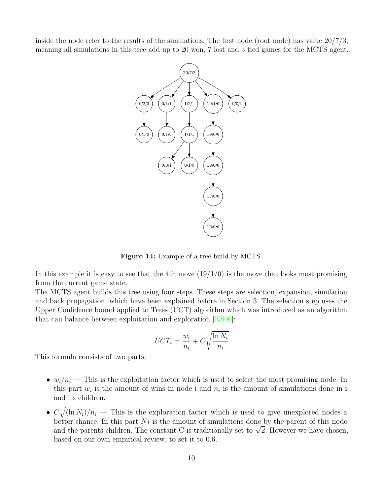<span id="page-12-0"></span>inside the node refer to the results of the simulations. The first node (root node) has value 20/7/3, meaning all simulations in this tree add up to 20 won, 7 lost and 3 tied games for the MCTS agent.



Figure 14: Example of a tree build by MCTS.

In this example it is easy to see that the 4th move  $(19/1/0)$  is the move that looks most promising from the current game state.

The MCTS agent builds this tree using four steps. These steps are selection, expansion, simulation and back propagation, which have been explained before in Section [3.](#page-8-0) The selection step uses the Upper Confidence bound applied to Trees (UCT) algorithm which was introduced as an algorithm that can balance between exploitation and exploration [\[KS06\]](#page-22-11):

$$
UCT_i = \frac{w_i}{n_i} + C\sqrt{\frac{\ln N_i}{n_i}}
$$

This formula consists of two parts:

- $w_i/n_i$  This is the exploitation factor which is used to select the most promising node. In this part  $w_i$  is the amount of wins in node i and  $n_i$  is the amount of simulations done in i and its children.
- $C\sqrt{\frac{\ln N_i}{n_i}}$  This is the exploration factor which is used to give unexplored nodes a better chance. In this part  $Ni$  is the amount of simulations done by the parent of this node better chance. In this part *ivt* is the amount or simulations done by the parent of this node<br>and the parents children. The constant C is traditionally set to  $\sqrt{2}$ . However we have chosen, based on our own empirical review, to set it to 0.6.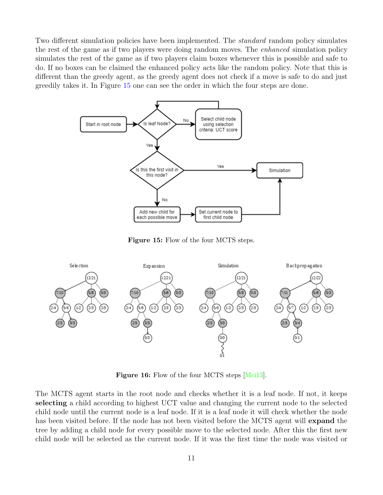Two different simulation policies have been implemented. The *standard* random policy simulates the rest of the game as if two players were doing random moves. The *enhanced* simulation policy simulates the rest of the game as if two players claim boxes whenever this is possible and safe to do. If no boxes can be claimed the enhanced policy acts like the random policy. Note that this is different than the greedy agent, as the greedy agent does not check if a move is safe to do and just greedily takes it. In Figure [15](#page-13-0) one can see the order in which the four steps are done.

<span id="page-13-0"></span>

Figure 15: Flow of the four MCTS steps.

<span id="page-13-1"></span>

Figure 16: Flow of the four MCTS steps [\[Mci13\]](#page-22-12).

The MCTS agent starts in the root node and checks whether it is a leaf node. If not, it keeps selecting a child according to highest UCT value and changing the current node to the selected child node until the current node is a leaf node. If it is a leaf node it will check whether the node has been visited before. If the node has not been visited before the MCTS agent will **expand** the tree by adding a child node for every possible move to the selected node. After this the first new child node will be selected as the current node. If it was the first time the node was visited or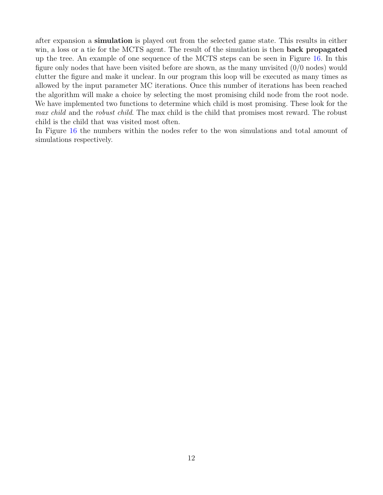after expansion a simulation is played out from the selected game state. This results in either win, a loss or a tie for the MCTS agent. The result of the simulation is then **back propagated** up the tree. An example of one sequence of the MCTS steps can be seen in Figure [16.](#page-13-1) In this figure only nodes that have been visited before are shown, as the many unvisited (0/0 nodes) would clutter the figure and make it unclear. In our program this loop will be executed as many times as allowed by the input parameter MC iterations. Once this number of iterations has been reached the algorithm will make a choice by selecting the most promising child node from the root node. We have implemented two functions to determine which child is most promising. These look for the max child and the robust child. The max child is the child that promises most reward. The robust child is the child that was visited most often.

In Figure [16](#page-13-1) the numbers within the nodes refer to the won simulations and total amount of simulations respectively.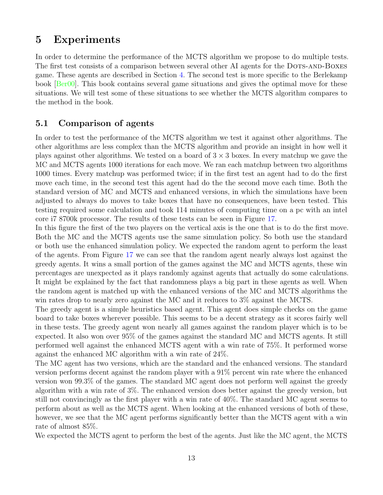## <span id="page-15-0"></span>5 Experiments

In order to determine the performance of the MCTS algorithm we propose to do multiple tests. The first test consists of a comparison between several other AI agents for the DOTS-AND-BOXES game. These agents are described in Section [4.](#page-10-0) The second test is more specific to the Berlekamp book [\[Ber00\]](#page-22-1). This book contains several game situations and gives the optimal move for these situations. We will test some of these situations to see whether the MCTS algorithm compares to the method in the book.

#### <span id="page-15-1"></span>5.1 Comparison of agents

In order to test the performance of the MCTS algorithm we test it against other algorithms. The other algorithms are less complex than the MCTS algorithm and provide an insight in how well it plays against other algorithms. We tested on a board of  $3 \times 3$  boxes. In every matchup we gave the MC and MCTS agents 1000 iterations for each move. We ran each matchup between two algorithms 1000 times. Every matchup was performed twice; if in the first test an agent had to do the first move each time, in the second test this agent had do the the second move each time. Both the standard version of MC and MCTS and enhanced versions, in which the simulations have been adjusted to always do moves to take boxes that have no consequences, have been tested. This testing required some calculation and took 114 minutes of computing time on a pc with an intel core i7 8700k processor. The results of these tests can be seen in Figure [17.](#page-17-0)

In this figure the first of the two players on the vertical axis is the one that is to do the first move. Both the MC and the MCTS agents use the same simulation policy. So both use the standard or both use the enhanced simulation policy. We expected the random agent to perform the least of the agents. From Figure [17](#page-17-0) we can see that the random agent nearly always lost against the greedy agents. It wins a small portion of the games against the MC and MCTS agents, these win percentages are unexpected as it plays randomly against agents that actually do some calculations. It might be explained by the fact that randomness plays a big part in these agents as well. When the random agent is matched up with the enhanced versions of the MC and MCTS algorithms the win rates drop to nearly zero against the MC and it reduces to 3% against the MCTS.

The greedy agent is a simple heuristics based agent. This agent does simple checks on the game board to take boxes wherever possible. This seems to be a decent strategy as it scores fairly well in these tests. The greedy agent won nearly all games against the random player which is to be expected. It also won over 95% of the games against the standard MC and MCTS agents. It still performed well against the enhanced MCTS agent with a win rate of 75%. It performed worse against the enhanced MC algorithm with a win rate of 24%.

The MC agent has two versions, which are the standard and the enhanced versions. The standard version performs decent against the random player with a 91% percent win rate where the enhanced version won 99.3% of the games. The standard MC agent does not perform well against the greedy algorithm with a win rate of 3%. The enhanced version does better against the greedy version, but still not convincingly as the first player with a win rate of 40%. The standard MC agent seems to perform about as well as the MCTS agent. When looking at the enhanced versions of both of these, however, we see that the MC agent performs significantly better than the MCTS agent with a win rate of almost 85%.

We expected the MCTS agent to perform the best of the agents. Just like the MC agent, the MCTS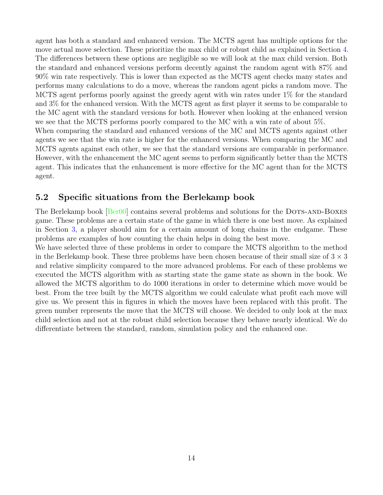agent has both a standard and enhanced version. The MCTS agent has multiple options for the move actual move selection. These prioritize the max child or robust child as explained in Section [4.](#page-10-0) The differences between these options are negligible so we will look at the max child version. Both the standard and enhanced versions perform decently against the random agent with 87% and 90% win rate respectively. This is lower than expected as the MCTS agent checks many states and performs many calculations to do a move, whereas the random agent picks a random move. The MCTS agent performs poorly against the greedy agent with win rates under 1% for the standard and 3% for the enhanced version. With the MCTS agent as first player it seems to be comparable to the MC agent with the standard versions for both. However when looking at the enhanced version we see that the MCTS performs poorly compared to the MC with a win rate of about 5%. When comparing the standard and enhanced versions of the MC and MCTS agents against other agents we see that the win rate is higher for the enhanced versions. When comparing the MC and MCTS agents against each other, we see that the standard versions are comparable in performance. However, with the enhancement the MC agent seems to perform significantly better than the MCTS agent. This indicates that the enhancement is more effective for the MC agent than for the MCTS agent.

#### <span id="page-16-0"></span>5.2 Specific situations from the Berlekamp book

The Berlekamp book [\[Ber00\]](#page-22-1) contains several problems and solutions for the DOTS-AND-BOXES game. These problems are a certain state of the game in which there is one best move. As explained in Section [3,](#page-8-0) a player should aim for a certain amount of long chains in the endgame. These problems are examples of how counting the chain helps in doing the best move.

We have selected three of these problems in order to compare the MCTS algorithm to the method in the Berlekamp book. These three problems have been chosen because of their small size of  $3 \times 3$ and relative simplicity compared to the more advanced problems. For each of these problems we executed the MCTS algorithm with as starting state the game state as shown in the book. We allowed the MCTS algorithm to do 1000 iterations in order to determine which move would be best. From the tree built by the MCTS algorithm we could calculate what profit each move will give us. We present this in figures in which the moves have been replaced with this profit. The green number represents the move that the MCTS will choose. We decided to only look at the max child selection and not at the robust child selection because they behave nearly identical. We do differentiate between the standard, random, simulation policy and the enhanced one.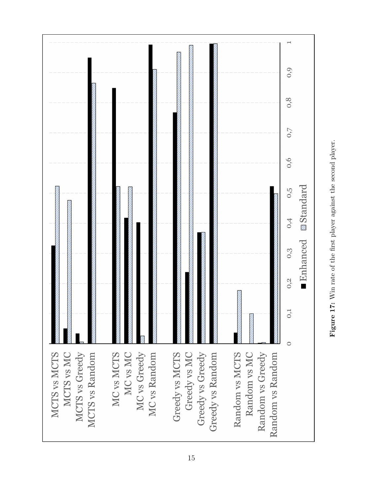<span id="page-17-0"></span>

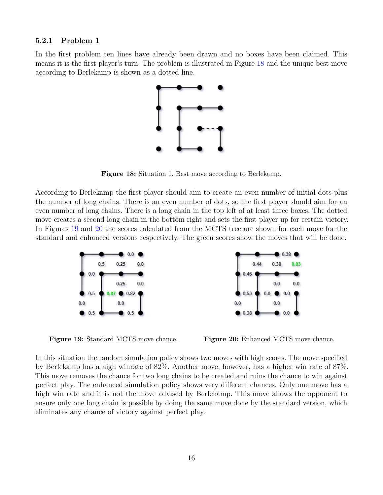#### <span id="page-18-0"></span>5.2.1 Problem 1

<span id="page-18-1"></span>In the first problem ten lines have already been drawn and no boxes have been claimed. This means it is the first player's turn. The problem is illustrated in Figure [18](#page-18-1) and the unique best move according to Berlekamp is shown as a dotted line.



Figure 18: Situation 1. Best move according to Berlekamp.

According to Berlekamp the first player should aim to create an even number of initial dots plus the number of long chains. There is an even number of dots, so the first player should aim for an even number of long chains. There is a long chain in the top left of at least three boxes. The dotted move creates a second long chain in the bottom right and sets the first player up for certain victory. In Figures [19](#page-18-2) and [20](#page-18-2) the scores calculated from the MCTS tree are shown for each move for the standard and enhanced versions respectively. The green scores show the moves that will be done.

<span id="page-18-2"></span>



In this situation the random simulation policy shows two moves with high scores. The move specified by Berlekamp has a high winrate of 82%. Another move, however, has a higher win rate of 87%. This move removes the chance for two long chains to be created and ruins the chance to win against perfect play. The enhanced simulation policy shows very different chances. Only one move has a high win rate and it is not the move advised by Berlekamp. This move allows the opponent to ensure only one long chain is possible by doing the same move done by the standard version, which eliminates any chance of victory against perfect play.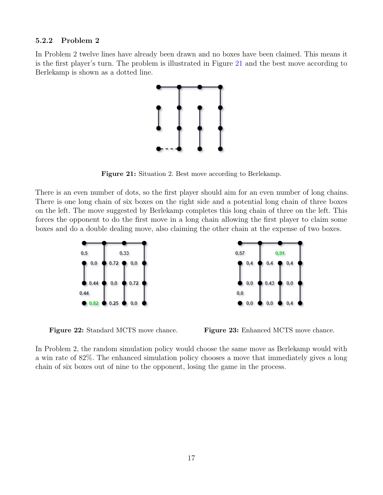#### <span id="page-19-0"></span>5.2.2 Problem 2

<span id="page-19-1"></span>In Problem 2 twelve lines have already been drawn and no boxes have been claimed. This means it is the first player's turn. The problem is illustrated in Figure [21](#page-19-1) and the best move according to Berlekamp is shown as a dotted line.



Figure 21: Situation 2. Best move according to Berlekamp.

There is an even number of dots, so the first player should aim for an even number of long chains. There is one long chain of six boxes on the right side and a potential long chain of three boxes on the left. The move suggested by Berlekamp completes this long chain of three on the left. This forces the opponent to do the first move in a long chain allowing the first player to claim some boxes and do a double dealing move, also claiming the other chain at the expense of two boxes.



Figure 22: Standard MCTS move chance. Figure 23: Enhanced MCTS move chance.

In Problem 2, the random simulation policy would choose the same move as Berlekamp would with a win rate of 82%. The enhanced simulation policy chooses a move that immediately gives a long chain of six boxes out of nine to the opponent, losing the game in the process.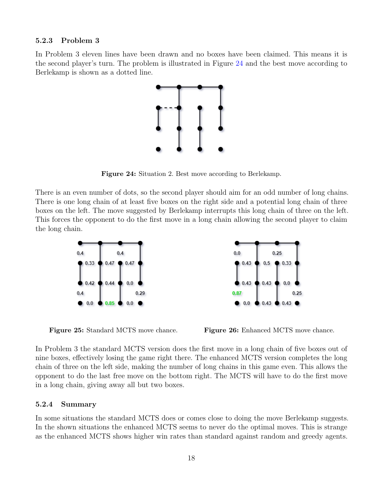#### <span id="page-20-0"></span>5.2.3 Problem 3

<span id="page-20-2"></span>In Problem 3 eleven lines have been drawn and no boxes have been claimed. This means it is the second player's turn. The problem is illustrated in Figure [24](#page-20-2) and the best move according to Berlekamp is shown as a dotted line.



Figure 24: Situation 2. Best move according to Berlekamp.

There is an even number of dots, so the second player should aim for an odd number of long chains. There is one long chain of at least five boxes on the right side and a potential long chain of three boxes on the left. The move suggested by Berlekamp interrupts this long chain of three on the left. This forces the opponent to do the first move in a long chain allowing the second player to claim the long chain.



Figure 25: Standard MCTS move chance. Figure 26: Enhanced MCTS move chance.

In Problem 3 the standard MCTS version does the first move in a long chain of five boxes out of nine boxes, effectively losing the game right there. The enhanced MCTS version completes the long chain of three on the left side, making the number of long chains in this game even. This allows the opponent to do the last free move on the bottom right. The MCTS will have to do the first move in a long chain, giving away all but two boxes.

#### <span id="page-20-1"></span>5.2.4 Summary

In some situations the standard MCTS does or comes close to doing the move Berlekamp suggests. In the shown situations the enhanced MCTS seems to never do the optimal moves. This is strange as the enhanced MCTS shows higher win rates than standard against random and greedy agents.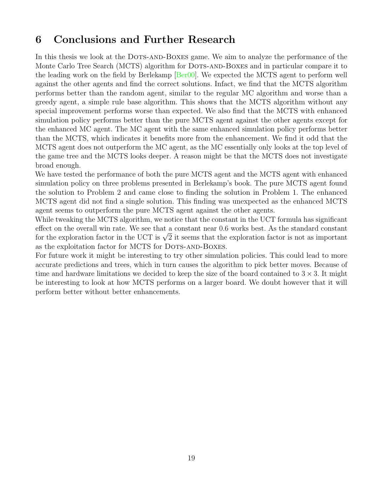## <span id="page-21-0"></span>6 Conclusions and Further Research

In this thesis we look at the DOTS-AND-BOXES game. We aim to analyze the performance of the Monte Carlo Tree Search (MCTS) algorithm for DOTS-AND-BOXES and in particular compare it to the leading work on the field by Berlekamp [\[Ber00\]](#page-22-1). We expected the MCTS agent to perform well against the other agents and find the correct solutions. Infact, we find that the MCTS algorithm performs better than the random agent, similar to the regular MC algorithm and worse than a greedy agent, a simple rule base algorithm. This shows that the MCTS algorithm without any special improvement performs worse than expected. We also find that the MCTS with enhanced simulation policy performs better than the pure MCTS agent against the other agents except for the enhanced MC agent. The MC agent with the same enhanced simulation policy performs better than the MCTS, which indicates it benefits more from the enhancement. We find it odd that the MCTS agent does not outperform the MC agent, as the MC essentially only looks at the top level of the game tree and the MCTS looks deeper. A reason might be that the MCTS does not investigate broad enough.

We have tested the performance of both the pure MCTS agent and the MCTS agent with enhanced simulation policy on three problems presented in Berlekamp's book. The pure MCTS agent found the solution to Problem 2 and came close to finding the solution in Problem 1. The enhanced MCTS agent did not find a single solution. This finding was unexpected as the enhanced MCTS agent seems to outperform the pure MCTS agent against the other agents.

While tweaking the MCTS algorithm, we notice that the constant in the UCT formula has significant effect on the overall win rate. We see that a constant near 0.6 works best. As the standard constant enect on the overall win rate. We see that a constant hear 0.0 works best. As the standard constant<br>for the exploration factor in the UCT is  $\sqrt{2}$  it seems that the exploration factor is not as important as the exploitation factor for MCTS for DOTS-AND-BOXES.

For future work it might be interesting to try other simulation policies. This could lead to more accurate predictions and trees, which in turn causes the algorithm to pick better moves. Because of time and hardware limitations we decided to keep the size of the board contained to  $3 \times 3$ . It might be interesting to look at how MCTS performs on a larger board. We doubt however that it will perform better without better enhancements.